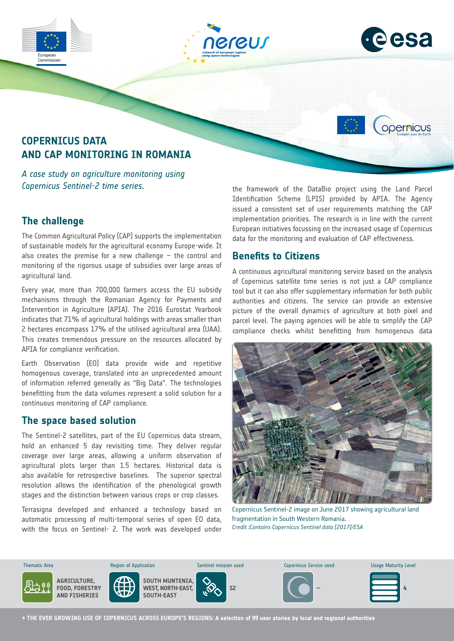



opernicus

# **COPERNICUS DATA AND CAP MONITORING IN ROMANIA**

*A case study on agriculture monitoring using Copernicus Sentinel-2 time series.*

### **The challenge**

Commission

The Common Agricultural Policy (CAP) supports the implementation of sustainable models for the agricultural economy Europe-wide. It also creates the premise for a new challenge  $-$  the control and monitoring of the rigorous usage of subsidies over large areas of agricultural land.

Every year, more than 700,000 farmers access the EU subsidy mechanisms through the Romanian Agency for Payments and Intervention in Agriculture (APIA). The 2016 Eurostat Yearbook indicates that 71% of agricultural holdings with areas smaller than 2 hectares encompass 17% of the utilised agricultural area (UAA). This creates tremendous pressure on the resources allocated by APIA for compliance verification.

Earth Observation (EO) data provide wide and repetitive homogenous coverage, translated into an unprecedented amount of information referred generally as "Big Data". The technologies benefitting from the data volumes represent a solid solution for a continuous monitoring of CAP compliance.

#### **The space based solution**

The Sentinel-2 satellites, part of the EU Copernicus data stream, hold an enhanced 5 day revisiting time. They deliver regular coverage over large areas, allowing a uniform observation of agricultural plots larger than 1.5 hectares. Historical data is also available for retrospective baselines. The superior spectral resolution allows the identification of the phenological growth stages and the distinction between various crops or crop classes.

Terrasigna developed and enhanced a technology based on automatic processing of multi-temporal series of open EO data, with the focus on Sentinel- 2. The work was developed under the framework of the DataBio project using the Land Parcel Identification Scheme (LPIS) provided by APIA. The Agency issued a consistent set of user requirements matching the CAP implementation priorities. The research is in line with the current European initiatives focussing on the increased usage of Copernicus data for the monitoring and evaluation of CAP effectiveness.

#### **Benefits to Citizens**

A continuous agricultural monitoring service based on the analysis of Copernicus satellite time series is not just a CAP compliance tool but it can also offer supplementary information for both public authorities and citizens. The service can provide an extensive picture of the overall dynamics of agriculture at both pixel and parcel level. The paying agencies will be able to simplify the CAP compliance checks whilst benefitting from homogenous data



Copernicus Sentinel-2 image on June 2017 showing agricultural land fragmentation in South Western Romania. *Credit :Contains Copernicus Sentinel data [2017]/ESA*



**→ THE EVER GROWING USE OF COPERNICUS ACROSS EUROPE'S REGIONS: A selection of 99 user stories by local and regional authorities**